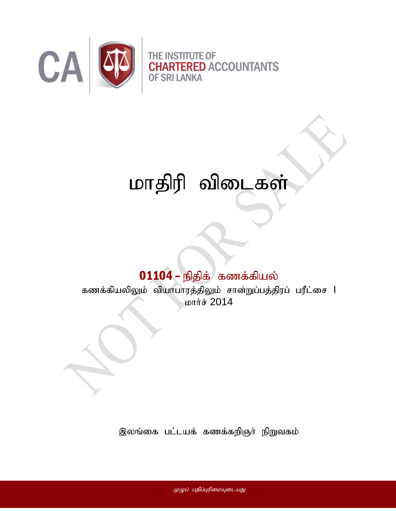

# மாதிரி விடைகள்

# $01104$  – நிதிக் $\frac{1}{2}$  கணக்கியல்

கணக்கியலிலும் வியாபாரத்திலும் சான்றுப்பத்திரப் பரீட்சை l **LDITT & 2014** 

இலங்கை பட்டயக் கணக்கறிஞர் நிறுவகம்

முழுப் பதிப்புரிமையுடையது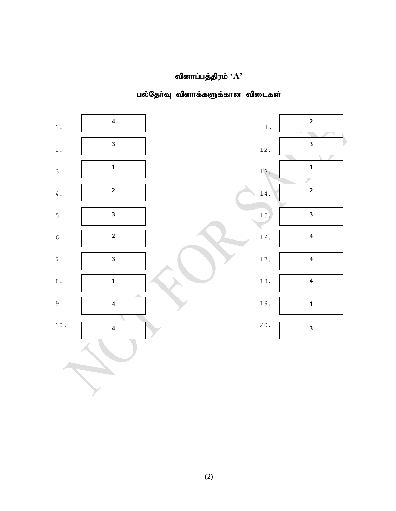### வினாப்பத்திரம் ' $\mathbf{A}$ '



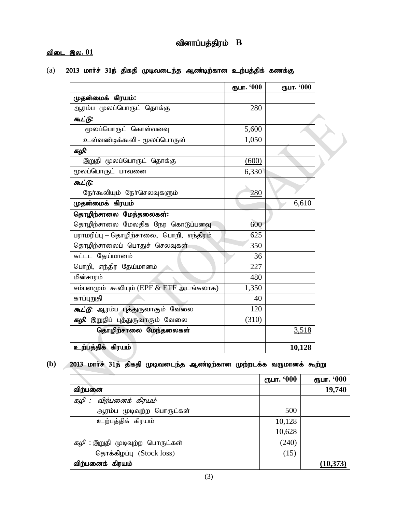#### <u>வினாப்பத்திரம் B</u>

#### <u>விடை இல. 01</u>

(a) 2013 மார்ச் 31ந் திகதி முடிவடைந்த ஆண்டிற்கான உற்பத்திக் கணக்கு

|                                           | ரூபா. '000 | ரூபா. '000 |
|-------------------------------------------|------------|------------|
| முதன்மைக் கிரயம்:                         |            |            |
| ஆரம்ப மூலப்பொருட் தொக்கு                  | 280        |            |
| கூட்டு:                                   |            |            |
| மூலப்பொருட் கொள்வனவு                      | 5,600      |            |
| உள்வண்டிக்கூலி - மூலப்பொருள்              | 1,050      |            |
| கழி:                                      |            |            |
| இறுதி மூலப்பொருட் தொக்கு                  | (600)      |            |
| மூலப்பொருட் பாவனை                         | 6,330      |            |
| கூட்டு:                                   |            |            |
| நேர்கூலியும் நேர்செலவுகளும்               | 280        |            |
| முதன்மைக் கிரயம்                          |            | 6,610      |
| தொழிற்சாலை மேந்தலைகள்:                    |            |            |
| தொழிற்சாலை மேலதிக நேர கொடுப்பனவு          | 600        |            |
| பராமரிப்பு – தொழிற்சாலை, பொறி, எந்திரம்   | 625        |            |
| தொழிற்சாலைப் பொதுச் செலவுகள்              | 350        |            |
| கட்டட தேய்மானம்                           | 36         |            |
| பொறி, எந்திர தேய்மானம்                    | 227        |            |
| மின்சாரம்                                 | 480        |            |
| சம்பளமும் கூலியும் (EPF $&$ ETF அடங்கலாக) | 1,350      |            |
| காப்புறுதி                                | 40         |            |
| <i>கூட்டு</i> : ஆரம்ப புத்துருவாகும் வேலை | 120        |            |
| <i>கழி</i> : இறுதிப் புத்துருவாகும் வேலை  | (310)      |            |
| தொழிற்சாலை மேந்தலைகள்                     |            | 3,518      |
| உற்பத்திக் கிரயம்                         |            | 10,128     |

(b) 2013 மார்ச் 31ந் திகதி முடிவடைந்த ஆண்டிற்கான முற்றடக்க வருமானக் கூற்று

|                                        | ரூபா. '000 | ரூபா. '000 |
|----------------------------------------|------------|------------|
| விற்பனை                                |            | 19,740     |
| விற்பனைக் கிரயம்<br>கழி :              |            |            |
| ஆரம்ப முடிவுற்ற பொருட்கள்              | 500        |            |
| உற்பத்திக் கிரயம்                      | 10,128     |            |
|                                        | 10,628     |            |
| <i>கழி</i> : இறுதி முடிவுற்ற பொருட்கள் | (240)      |            |
| தொக்கிழப்பு (Stock loss)               | (15)       |            |
| விற்பனைக் கிரயம்                       |            | (10, 373)  |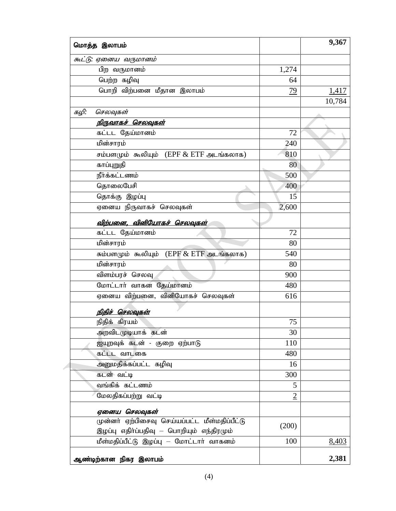| மொத்த இலாபம்                                  |                | 9,367  |
|-----------------------------------------------|----------------|--------|
| கூட்டு: ஏனைய வருமானம்                         |                |        |
| பிற வருமானம்                                  | 1,274          |        |
| பெற்ற கழிவு                                   | 64             |        |
| பொறி விற்பனை மீதான இலாபம்                     | 79             | 1,417  |
|                                               |                | 10,784 |
| கழி:<br>செலவுகள்                              |                |        |
| <u>நிருவாகச் செலவுகள்</u>                     |                |        |
| கட்டட தேய்மானம்                               | 72             |        |
| மின்சாரம்                                     | 240            |        |
| சம்பளமும் கூலியும் (EPF $&$ ETF அடங்கலாக)     | 810            |        |
| காப்புறுதி                                    | 80             |        |
| நீர்க்கட்டணம்                                 | 500            |        |
| தொலைபேசி                                      | 400            |        |
| தொக்கு இழப்பு                                 | 15             |        |
| ஏனைய நிருவாகச் செலவுகள்                       | 2,600          |        |
| <u>விற்பனை, வினியோகச் செலவுகள்</u>            |                |        |
| கட்டட தேய்மானம்                               | 72             |        |
| மின்சாரம்                                     | 80             |        |
| சும்பளமும் கூலியும் (EPF & ETF அடங்கலாக)      | 540            |        |
| மின்சாரம்                                     | 80             |        |
| விளம்பரச் செலவு                               | 900            |        |
| மோட்டார் வாகன தேய்மானம்                       | 480            |        |
| ஏனைய விற்பனை, வினியோகச் செலவுகள்              | 616            |        |
| நிதிச் செலவுகள்                               |                |        |
| நிதிக் கிரயம்                                 | 75             |        |
| அறவிடமுடியாக் கடன்                            | 30             |        |
| ஐயுறவுக் கடன் - குறை ஏற்பாடு                  | 110            |        |
| கட்டட வாடகை                                   | 480            |        |
| அனுமதிக்கப்பட்ட கழிவு                         | 16             |        |
| கடன் வட்டி                                    | 300            |        |
| வங்கிக் கட்டணம்                               | 5              |        |
| மேலதிகப்பற்று வட்டி                           | $\overline{2}$ |        |
|                                               |                |        |
| ஏனைய செலவுகள்                                 |                |        |
| முன்னா் ஏற்பிசைவு செய்யப்பட்ட மீள்மதிப்பீட்டு | (200)          |        |
| இழப்பு எதிா்ப்பதிவு — பொறியும் எந்திரமும்     | 100            |        |
| மீள்மதிப்பீட்டு இழப்பு — மோட்டாா் வாகனம்      |                | 8,403  |
| ஆண்டிற்கான நிகர இலாபம்                        |                | 2,381  |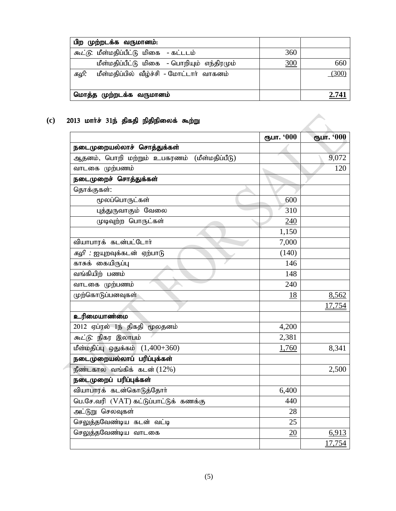| பிற முற்றடக்க வருமானம்:                          |     |       |
|--------------------------------------------------|-----|-------|
| <i>கூட்டு</i> : மீள்மதிப்பீட்டு மிகை - கட்டடம்   | 360 |       |
| மீள்மதிப்பீட்டு மிகை - பொறியும் எந்திரமும்       | 300 | 660   |
| மீள்மதிப்பில் வீழ்ச்சி - மோட்டார் வாகனம்<br>கழி: |     | (300) |
| மொத்த முற்றடக்க வருமானம்                         |     | 2.741 |

Г.,

### (c) 2013 மார்ச் 31ந் திகதி நிதிநிலைக் கூற்று

|                                             | ரூபா. '000 | ரூபா. '000 |
|---------------------------------------------|------------|------------|
| நடைமுறையல்லாச் சொத்துக்கள்                  |            |            |
| ஆதனம், பொறி மற்றும் உபகரணம் (மீள்மதிப்பீடு) |            | 9,072      |
| வாடகை முற்பணம்                              |            | 120        |
| நடைமுறைச் சொத்துக்கள்                       |            |            |
| தொக்குகள்:                                  |            |            |
| மூலப்பொருட்கள்                              | 600        |            |
| புத்துருவாகும் வேலை                         | 310        |            |
| முடிவுற்ற பொருட்கள்                         | 240        |            |
|                                             | 1,150      |            |
| வியாபாரக் கடன்பட்டோர்                       | 7,000      |            |
| <i>கழி</i> : ஐயுறவுக்கடன் ஏற்பாடு           | (140)      |            |
| காசுக் கையிருப்பு                           | 146        |            |
| வங்கியிற் பணம்                              | 148        |            |
| வாடகை முற்பணம்                              | 240        |            |
| முற்கொடுப்பனவுகள்                           | 18         | 8,562      |
|                                             |            | 17,754     |
| உரிமையாண்மை                                 |            |            |
| 2012 ஏப்ரல் 1ந் திகதி மூலதனம்               | 4,200      |            |
| <i>கூட்டு</i> : நிகர இலாபம்                 | 2,381      |            |
| மீள்மதிப்பு ஒதுக்கம் $(1,400+360)$          | 1,760      | 8,341      |
| நடைமுறையல்லாப் பரிப்புக்கள்                 |            |            |
| நீண்டகால வங்கிக் கடன் $(12%)$               |            | 2,500      |
| நடைமுறைப் பரிப்புக்கள்                      |            |            |
| வியாபாரக் கடன்கொடுத்தோா்                    | 6,400      |            |
| பெ.சே.வரி (VAT) கட்டுப்பாட்டுக் கணக்கு      | 440        |            |
| அட்டுறு செலவுகள்                            | 28         |            |
| செலுத்தவேண்டிய கடன் வட்டி                   | 25         |            |
| செலுத்தவேண்டிய வாடகை                        | 20         | 6,913      |
|                                             |            | 17,754     |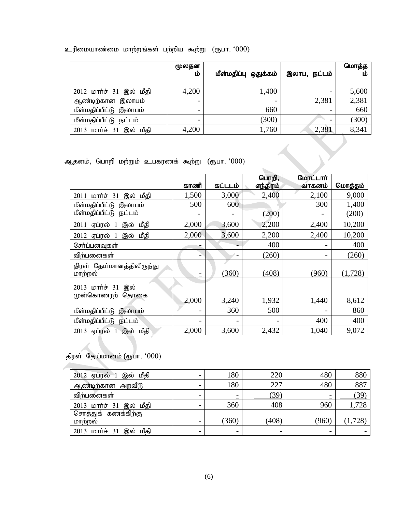| உரிமையாண்மை மாற்றங்கள் பற்றிய கூற்று $\,$ (ரூபா $\,$ $\,$ $\,000)$ |  |  |
|--------------------------------------------------------------------|--|--|
|                                                                    |  |  |

|                         | மூலதன<br>ĽĎ              | மீள்மதிப்பு ஒதுக்கம் | இலாப, நட்டம்             | மொத்த<br>ம |
|-------------------------|--------------------------|----------------------|--------------------------|------------|
|                         |                          |                      |                          |            |
| 2012 மார்ச் 31 இல் மீதி | 4,200                    | 1,400                | -                        | 5,600      |
| ஆண்டிற்கான இலாபம்       | $\overline{\phantom{0}}$ |                      | 2,381                    | 2,381      |
| மீள்மதிப்பீட்டு இலாபம்  | $\overline{\phantom{0}}$ | 660                  | $\overline{\phantom{0}}$ | 660        |
| மீள்மதிப்பீட்டு நட்டம்  | -                        | (300)                |                          | (300)      |
| 2013 மார்ச் 31 இல் மீதி | 4,200                    | ,760                 | 2,381                    | 8,341      |

ஆதனம், பொறி மற்றும் உபகரணக் கூற்று (ரூபா. ' $000$ )

|                                          |       |         | பொறி,    | மோட்டார் |         |
|------------------------------------------|-------|---------|----------|----------|---------|
|                                          | காணி  | கட்டடம் | எந்திரம் | வாகனம்   | மொத்தம் |
| மார்ச்<br>இல் மீதி<br>31<br>2011         | 1,500 | 3,000   | 2,400    | 2,100    | 9,000   |
| மீள்மதிப்பீட்டு இலாபம்                   | 500   | 600     |          | 300      | 1,400   |
| மீள்மதிப்பீட்டு நட்டம்                   |       |         | (200)    |          | (200)   |
| ஏப்ரல் 1<br>இல் மீதி<br>2011             | 2,000 | 3,600   | 2,200    | 2,400    | 10,200  |
| 2012 ஏப்ரல் 1<br>இல் மீதி                | 2,000 | 3,600   | 2,200    | 2,400    | 10,200  |
| சேர்ப்பனவுகள்                            |       |         | 400      |          | 400     |
| விற்பனைகள்                               |       |         | (260)    |          | (260)   |
| திரள் தேய்மானத்திலிருந்து<br>மாற்றல்     |       | (360)   | (408)    | (960)    | (1,728) |
| 2013 மார்ச் 31 இல்<br>முன்கொணரற்<br>தொகை | 2,000 | 3,240   | 1,932    | 1,440    | 8,612   |
| மீள்மதிப்பீட்டு<br>இலாபம்                |       | 360     | 500      |          | 860     |
| மீள்மதிப்பீட்டு நட்டம்                   |       |         |          | 400      | 400     |
| 2013 ஏப்ரல் 1 இல் மீதி                   | 2,000 | 3,600   | 2,432    | 1,040    | 9,072   |

திரள் தேய்மானம் (ரூபா. ' $000$ )

| 2012 ஏப்ரல் 1 இல் மீதி  |   | 180   | 220   | 480   | 880     |
|-------------------------|---|-------|-------|-------|---------|
| ஆண்டிற்கான அறவீடு       | - | 180   | 227   | 480   | 887     |
| விற்பனைகள்              | - |       | (39)  |       | (39)    |
| 2013 மார்ச் 31 இல் மீதி | - | 360   | 408   | 960   | 1,728   |
| சொத்துக் கணக்கிற்கு     |   |       |       |       |         |
| மாற்றல்                 | - | (360) | (408) | (960) | (1,728) |
| 2013 மார்ச் 31 இல் மீதி |   |       |       |       |         |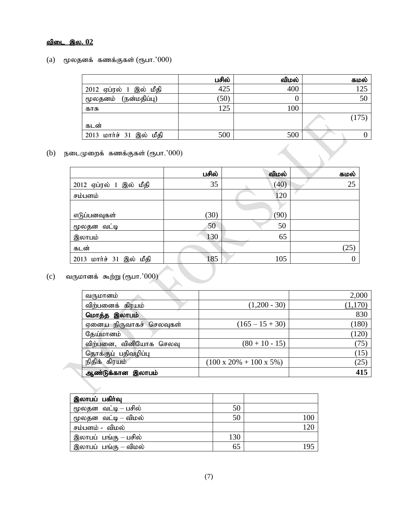#### <u>விடை இல. 02</u>

#### $(a)$  மூலதனக் கணக்குகள் (ரூபா.' $000$ )

|                         | பசில் | விமல் | கமல்  |
|-------------------------|-------|-------|-------|
| 2012 ஏப்ரல் 1 இல் மீதி  | 425   | 400   | 125   |
| மூலதனம் (நன்மதிப்பு)    | (50)  |       | 50    |
| காசு                    | 125   | 100   |       |
|                         |       |       | (175) |
| கடன்                    |       |       |       |
| 2013 மார்ச் 31 இல் மீதி | 500   | 500   |       |

 $(b)$  நடைமுறைக் கணக்குகள் (ரூபா.' $000$ )

|                         | பசில் | விமல் | கமல் |
|-------------------------|-------|-------|------|
| 2012 ஏப்ரல் 1 இல் மீதி  | 35    | (40)  | 25   |
| சம்பளம்                 |       | 120   |      |
|                         |       |       |      |
| எடுப்பனவுகள்            | (30)  | (90)  |      |
| மூலதன வட்டி             | 50    | 50    |      |
| இலாபம்                  | 130   | 65    |      |
| கடன்                    |       |       | (25) |
| 2013 மார்ச் 31 இல் மீதி | 185   | 105   |      |

## (c) வருமானக் கூற்று (ரூபா.' $000$ )

| வருமானம்                |                                      | 2,000 |
|-------------------------|--------------------------------------|-------|
| விற்பனைக் கிரயம்        | $(1,200 - 30)$                       |       |
| மொத்த இலாபம்            |                                      | 830   |
| ஏனைய நிருவாகச் செலவுகள் | $(165 - 15 + 30)$                    | (180) |
| தேய்மானம்               |                                      | (120) |
| விற்பனை, வினியோக செலவு  | $(80 + 10 - 15)$                     | (75)  |
| தொக்குப் பதிவழிப்பு     |                                      | (15)  |
| நிதிக் கிரயம்           | $(100 \times 20\% + 100 \times 5\%)$ | (25)  |
| ஆண்டுக்கான இலாபம்       |                                      | 415   |

| இலாபப் பகிர்வு       |     |     |
|----------------------|-----|-----|
| மூலதன வட்டி – பசில்  | 50  |     |
| மூலதன வட்டி — விமல்  | 50  | 100 |
| சம்பளம் - விமல்      |     | 120 |
| இலாபப் பங்கு – பசில் | 130 |     |
| இலாபப் பங்கு – விமல் | 65  | 195 |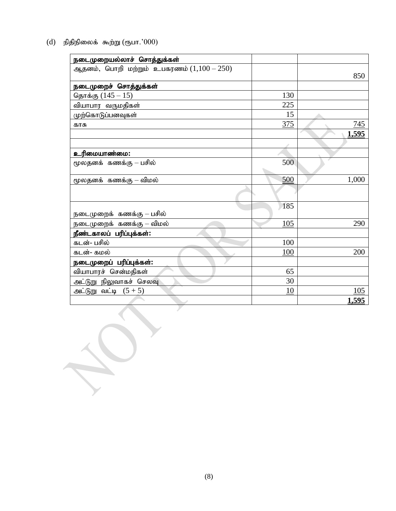$(d)$  நிதிநிலைக் கூற்று (ரூபா.' $000$ )

| நடைமுறையல்லாச் சொத்துக்கள்                |     |       |
|-------------------------------------------|-----|-------|
| ஆதனம், பொறி மற்றும் உபகரணம் $(1,100-250)$ |     | 850   |
| நடைமுறைச் சொத்துக்கள்                     |     |       |
| தொக்கு $(145 - 15)$                       | 130 |       |
| வியாபார வருமதிகள்                         | 225 |       |
| முற்கொடுப்பனவுகள்                         | 15  |       |
| காசு                                      | 375 | 745   |
|                                           |     | 1,595 |
|                                           |     |       |
| உரிமையாண்மை:                              |     |       |
| மூலதனக் கணக்கு - பசில்                    | 500 |       |
| மூலதனக் கணக்கு – விமல்                    | 500 | 1,000 |
|                                           |     |       |
| நடைமுறைக் கணக்கு – பசில்                  | 185 |       |
| நடைமுறைக் கணக்கு – விமல்                  | 105 | 290   |
| நீண்டகாலப் பரிப்புக்கள்:                  |     |       |
| கடன்- பசில்                               | 100 |       |
| கடன்- கமல்                                | 100 | 200   |
| நடைமுறைப் பரிப்புக்கள்:                   |     |       |
| வியாபாரச் சென்மதிகள்                      | 65  |       |
| அட்டுறு நிலுவாகச் செலவு                   | 30  |       |
| அட்டுறு வட்டி $(5+5)$                     | 10  | 105   |
|                                           |     | 1,595 |
|                                           |     |       |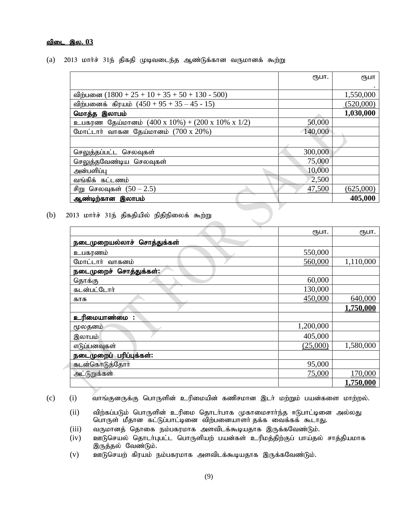#### <u>விடை இல. 03</u>

(a) 2013 மார்ச் 31ந் திகதி முடிவடைந்த ஆண்டுக்கான வருமானக் கூற்று

|                                                                    | ரூபா.   | ரூபா      |
|--------------------------------------------------------------------|---------|-----------|
|                                                                    |         |           |
| விற்பனை $(1800 + 25 + 10 + 35 + 50 + 130 - 500)$                   |         | 1,550,000 |
| விற்பனைக் கிரயம் $(450 + 95 + 35 - 45 - 15)$                       |         | (520,000) |
| மொத்த இலாபம்                                                       |         | 1,030,000 |
| உபகரண தேய்மானம் $(400 \times 10\%) + (200 \times 10\% \times 1/2)$ | 50,000  |           |
| மோட்டார் வாகன தேய்மானம் $(700 \times 20\%)$                        | 140,000 |           |
|                                                                    |         |           |
| செலுத்தப்பட்ட செலவுகள்                                             | 300,000 |           |
| செலுத்தவேண்டிய செலவுகள்                                            | 75,000  |           |
| அன்பளிப்பு                                                         | 10,000  |           |
| வங்கிக் கட்டணம்                                                    | 2,500   |           |
| சிறு செலவுகள் $(50 - 2.5)$                                         | 47,500  | (625,000) |
| ஆண்டிற்கான இலாபம்                                                  |         | 405,000   |
|                                                                    |         |           |

(b)  $2013$  மார்ச் 31ந் திகதியில் நிதிநிலைக் கூற்று

|                            | ரூபா.     | ரூபா.     |
|----------------------------|-----------|-----------|
| நடைமுறையல்லாச் சொத்துக்கள் |           |           |
| உபகரணம்                    | 550,000   |           |
| மோட்டார் வாகனம்            | 560,000   | 1,110,000 |
| நடைமுறைச் சொத்துக்கள்:     |           |           |
| தொக்கு                     | 60,000    |           |
| கடன்பட்டோர்                | 130,000   |           |
| காசு                       | 450,000   | 640,000   |
|                            |           | 1,750,000 |
| உரிமையாண்மை :              |           |           |
| மூலதனம்                    | 1,200,000 |           |
| இலாபம்                     | 405,000   |           |
| எடுப்பனவுகள்               | (25,000)  | 1,580,000 |
| நடைமுறைப் பரிப்புக்கள்:    |           |           |
| கடன்கொடுத்தோர்             | 95,000    |           |
| அட்டுறுக்கள்               | 75,000    | 170,000   |
|                            |           | 1,750,000 |

(c) (i) வாங்குனருக்கு பொருளின் உரிமையின் கணிசமான இடர் மற்றும் பயன்களை மாற்றல்.

- (ii) விற்கப்படும் பொருளின் உரிமை தொடர்பாக முகாமைசார்ந்த ஈடுபாட்டினை அல்லது பொருள் மீதான கட்டுப்பாட்டினை விற்பனையாளர் தக்க வைக்கக் கூடாது.
- $(iii)$  வருமானத் தொகை நம்பகரமாக அளவிடக்கூடியதாக இருக்கவேண்டும்.
- $(iv)$  உளடுசெயல் தொடர்புபட்ட பொருளியற் பயன்கள் உரிமத்திற்குப் பாய்தல் சாத்தியமாக இருத்தல் வேண்டும்.
- $(v)$  உளடுசெயற் கிரயம் நம்பகரமாக அளவிடக்கூடியதாக இருக்கவேண்டும்.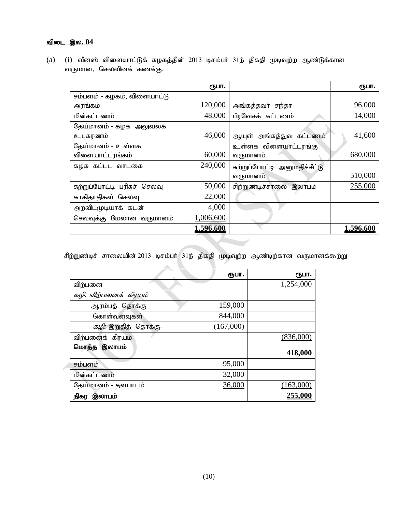#### <u>விடை இல. 04</u>

(a) (i) வீனஸ் விளையாட்டுக் கழகத்தின் 2013 டிசம்பா் 31ந் திகதி முடிவுற்ற ஆண்டுக்கான வருமான, செலவினக் கணக்கு.

|                              | ரூபா.     |                               | ரூபா.     |
|------------------------------|-----------|-------------------------------|-----------|
| சம்பளம் - கழகம், விளையாட்டு  |           |                               |           |
| அரங்கம்                      | 120,000   | அங்கத்தவர் சந்தா              | 96,000    |
| மின்கட்டணம்                  | 48,000    | பிரவேசக் கட்டணம்              | 14,000    |
| தேய்மானம் - கழக அலுவலக       |           |                               |           |
| உபகரணம்                      | 46,000    | ஆயுள் அங்கத்துவ கட்டணம்       | 41,600    |
| தேய்மானம் - உள்ளக            |           | உள்ளக விளையாட்டரங்கு          |           |
| விளையாட்டரங்கம்              | 60,000    | வருமானம்                      | 680,000   |
| கழக கட்டட வாடகை              | 240,000   | சுற்றுப்போட்டி அனுமதிச்சீட்டு |           |
|                              |           | வருமானம்                      | 510,000   |
| சுற்றுப்போட்டி பரிசுச் செலவு | 50,000    | சிற்றுண்டிச்சாலை இலாபம்       | 255,000   |
| காகிதாதிகள் செலவு            | 22,000    |                               |           |
| அறவிடமுடியாக் கடன்           | 4,000     |                               |           |
| செலவுக்கு மேலான வருமானம்     | 1,006,600 |                               |           |
|                              | 1,596,600 |                               | 1,596,600 |

சிற்றுண்டிச் சாலையின் 2013 டிசம்பா் 31ந் திகதி முடிவுற்ற ஆண்டிற்கான வருமானக்கூற்று

|                            | (ҦШТ.     | ரூபா.          |
|----------------------------|-----------|----------------|
| விற்பனை                    |           | 1,254,000      |
| கழி: விற்பனைக் கிரயம்      |           |                |
| ஆரம்பத் தொக்கு             | 159,000   |                |
| கொள்வனவுகள்                | 844,000   |                |
| <i>கழி:</i> இறுதித் தொக்கு | (167,000) |                |
| விற்பனைக் கிரயம்           |           | (836,000)      |
| மொத்த இலாபம்               |           | 418,000        |
| சம்பளம்                    | 95,000    |                |
| மின்கட்டணம்                | 32,000    |                |
| தேய்மானம் - தளபாடம்        | 36,000    | (163,000)      |
| நிகர<br>இலாபம்             |           | <u>255,000</u> |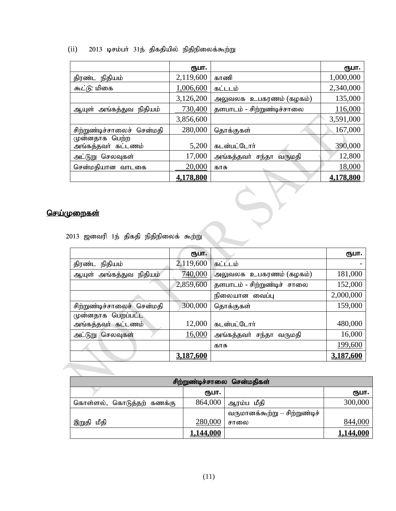#### $(ii)$  2013 டிசம்பர் 31ந் திகதியில் நிதிநிலைக்கூற்று

|                                       | ரூபா.     |                            | ரூபா.     |  |  |
|---------------------------------------|-----------|----------------------------|-----------|--|--|
| திரண்ட நிதியம்                        | 2,119,600 | காணி                       | 1,000,000 |  |  |
| <i>கூட்டு</i> : மிகை                  | 1,006,600 | கட்டடம்                    | 2,340,000 |  |  |
|                                       | 3,126,200 | அலுவலக உபகரணம் (கழகம்)     | 135,000   |  |  |
| ஆயுள் அங்கத்துவ நிதியம்               | 730,400   | தளபாடம் - சிற்றுண்டிச்சாலை | 116,000   |  |  |
|                                       | 3,856,600 |                            | 3,591,000 |  |  |
| சிற்றுண்டிச்சாலைச் சென்மதி            | 280,000   | தொக்குகள்                  | 167,000   |  |  |
| முன்னதாக பெற்ற<br>அங்கத்தவர் கட்டணம்  | 5,200     | கடன்பட்டோர்                | 390,000   |  |  |
| அட்டுறு செலவுகள்                      | 17,000    | அங்கத்தவா் சந்தா வருமதி    | 12,800    |  |  |
| சென்மதியான வாடகை                      | 20,000    | காசு                       | 18,000    |  |  |
|                                       | 4,178,800 |                            | 4,178,800 |  |  |
|                                       |           |                            |           |  |  |
| <u>pறைகள்</u>                         |           |                            |           |  |  |
| 013 ஜனவரி 1ந் திகதி நிதிநிலைக் கூற்று |           |                            |           |  |  |

#### <u>செய்முறைகள்</u>

|  |  |  |  | 2013 ஜனவரி 1ந் திகதி நிதிநிலைக் கூற்று |  |
|--|--|--|--|----------------------------------------|--|
|--|--|--|--|----------------------------------------|--|

|                            | ரூபா.     |                             | ருபா.     |
|----------------------------|-----------|-----------------------------|-----------|
| திரண்ட<br>நிதியம்          | 2,119,600 | கட்டடம்                     |           |
| நிதியம்<br>ஆயுள் அங்கத்துவ | 740,000   | அலுவலக உபகரணம் (கழகம்)      | 181,000   |
|                            | 2,859,600 | தளபாடம் - சிற்றுண்டிச் சாலை | 152,000   |
|                            |           | நிலையான வைப்பு              | 2,000,000 |
| சிற்றுண்டிச்சாலைச் சென்மதி | 300,000   | தொக்குகள்                   | 159,000   |
| முன்னதாக பெறப்பட்ட         |           |                             |           |
| அங்கத்தவர் கட்டணம்         | 12,000    | கடன்பட்டோர்                 | 480,000   |
| அட்டுறு செலவுகள்           | 16,000    | அங்கத்தவா் சந்தா வருமதி     | 16,000    |
|                            |           | காசு                        | 199,600   |
|                            | 3,187,600 |                             | 3,187,600 |

| சிற்றுண்டிச்சாலை சென்மதிகள் |           |                               |           |
|-----------------------------|-----------|-------------------------------|-----------|
|                             | ரூபா.     |                               | (ҦШП.     |
| கொள்ளல், கொடுத்தற் கணக்கு   | 864,000   | ஆரம்ப மீதி                    | 300,000   |
|                             |           | வருமானக்கூற்று — சிற்றுண்டிச் |           |
| ்இறுதி மீதி                 | 280,000   | சாலை                          | 844,000   |
|                             | 1,144,000 |                               | 1,144,000 |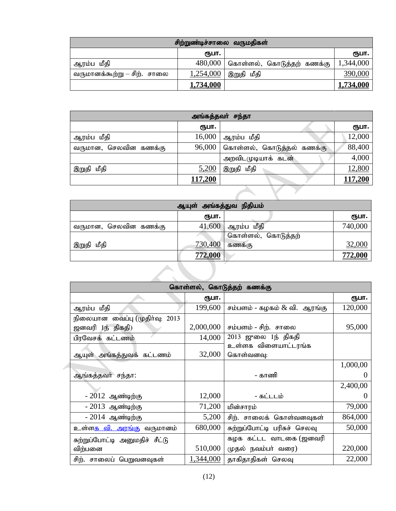| சிற்றுண்டிச்சாலை வருமதிகள்   |           |                           |                  |  |
|------------------------------|-----------|---------------------------|------------------|--|
|                              | ரூபா.     |                           | ரூபா.            |  |
| ஆரம்ப மீதி                   | 480,000   | கொள்ளல், கொடுத்தற் கணக்கு | 1,344,000        |  |
| வருமானக்கூற்று – சிற்.  சாலை | 1,254,000 | இறுதி மீதி                | 390,000          |  |
|                              | 1,734,000 |                           | <u>1,734,000</u> |  |

| அங்கத்தவர் சந்தா      |                |                           |         |  |
|-----------------------|----------------|---------------------------|---------|--|
|                       | (ҧ⊔п.          |                           | ரூபா.   |  |
| ஆரம்ப மீதி            | 16,000         | ஆரம்ப மீதி                | 12,000  |  |
| வருமான, செலவின கணக்கு | 96,000         | கொள்ளல், கொடுத்தல் கணக்கு | 88,400  |  |
|                       |                | அறவிடமுடியாக் கடன்        | 4,000   |  |
| இறுதி மீதி            | 5,200          | இறுதி மீதி                | 12,800  |  |
|                       | <u>117,200</u> |                           | 117,200 |  |
|                       |                |                           |         |  |

| அங்கத்துவ நிதியம்<br>ஆயுள் |                |                    |         |  |  |  |
|----------------------------|----------------|--------------------|---------|--|--|--|
|                            | ரூபா.          |                    | ரூபா.   |  |  |  |
| வருமான, செலவின கணக்கு      | 41,600         | ஆரம்ப மீதி         | 740,000 |  |  |  |
|                            |                | கொள்ளல், கொடுத்தற் |         |  |  |  |
| இறுதி மீதி                 | 730,400        | கணக்கு             | 32,000  |  |  |  |
|                            | <b>772,000</b> |                    | 772,000 |  |  |  |

|  | கொள்ளல், கொடுத்தற் கணக்கு         |           |                                 |          |  |  |
|--|-----------------------------------|-----------|---------------------------------|----------|--|--|
|  |                                   | ரூபா.     |                                 | ரூபா.    |  |  |
|  | ஆரம்ப மீதி                        | 199,600   | சம்பளம் - கழகம் $\&$ வி. ஆரங்கு | 120,000  |  |  |
|  | நிலையான வைப்பு (முதிர்வு: 2013    |           |                                 |          |  |  |
|  | ஜனவரி 1ந் திகதி)                  | 2,000,000 | சம்பளம் - சிற்.  சாலை           | 95,000   |  |  |
|  | பிரவேசக் கட்டணம்                  | 14,000    | 2013 ஜுலை 1ந் திகதி             |          |  |  |
|  |                                   |           | உள்ளக விளையாட்டரங்க             |          |  |  |
|  | ஆயுள் அங்கத்துவக் கட்டணம்         | 32,000    | கொள்வனவு:                       |          |  |  |
|  |                                   |           |                                 | 1,000,00 |  |  |
|  | ஆங்கத்தவா்` சந்தா:                |           | - காணி                          |          |  |  |
|  |                                   |           |                                 | 2,400,00 |  |  |
|  | - 2012 ஆண்டிற்கு                  | 12,000    | - கட்டடம்                       |          |  |  |
|  | - 2013 ஆண்டிற்கு                  | 71,200    | மின்சாரம்                       | 79,000   |  |  |
|  | - 2014 ஆண்டிற்கு                  | 5,200     | சிற். சாலைக் கொள்வனவுகள்        | 864,000  |  |  |
|  | உள்ள <u>க வி. அரங்கு</u> வருமானம் | 680,000   | சுற்றுப்போட்டி பரிசுச் செலவு    | 50,000   |  |  |
|  | சுற்றுப்போட்டி அனுமதிச் சீட்டு    |           | கழக கட்டட வாடகை (ஜனவரி          |          |  |  |
|  | விற்பனை                           | 510,000   | (ழதல் நவம்பர் வரை)              | 220,000  |  |  |
|  | சிற். சாலைப் பெறுவனவுகள்          | 1,344,000 | தாகிதாதிகள் செலவு               | 22,000   |  |  |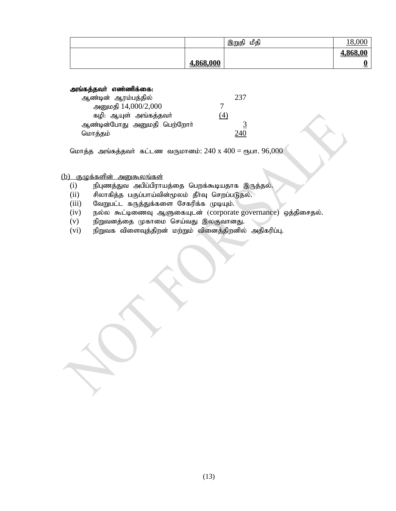|           | மீதி<br>இறுதி | 18,000   |
|-----------|---------------|----------|
|           |               | 4,868,00 |
| 4,868,000 |               |          |

அங்கத்தவர் எண்ணிக்கை:

| ஆண்டின் ஆரம்பத்தில்         |     |  |
|-----------------------------|-----|--|
| அனுமதி 14,000/2,000         |     |  |
| கழி: ஆயுள் அங்கத்தவர்       | (4) |  |
| ஆண்டின்போது அனுமதி பெற்றோா் |     |  |
| மொத்தம்                     |     |  |

மொத்த அங்கத்தவர் கட்டண வருமானம்:  $240 \times 400 =$  ரூபா.  $96,000$ 

 $(b)$  குழுக்களின் அனுகூலங்கள்

- $(i)$  நிபுணத்துவ அபிப்பிராயத்தை பெறக்கூடியதாக இருத்தல்.
- $(i)$  சிலாகித்த பகுப்பாய்வின்மூலம் தீர்வு செறப்படுதல்.
- $(iii)$  வேறுபட்ட கருத்துக்களை சேகரிக்க முடியும்.
- (iv) நல்ல கூட்டிணைவு ஆளுகையுடன் (corporate governance) ஒத்திசைதல்.
- $(v)$  நிறுவனத்தை முகாமை செய்வது இலகுவானது.
- $(vi)$  நிறுவக விளைவுத்திறன் மற்றும் வினைத்திறனில் அதிகரிப்பு.